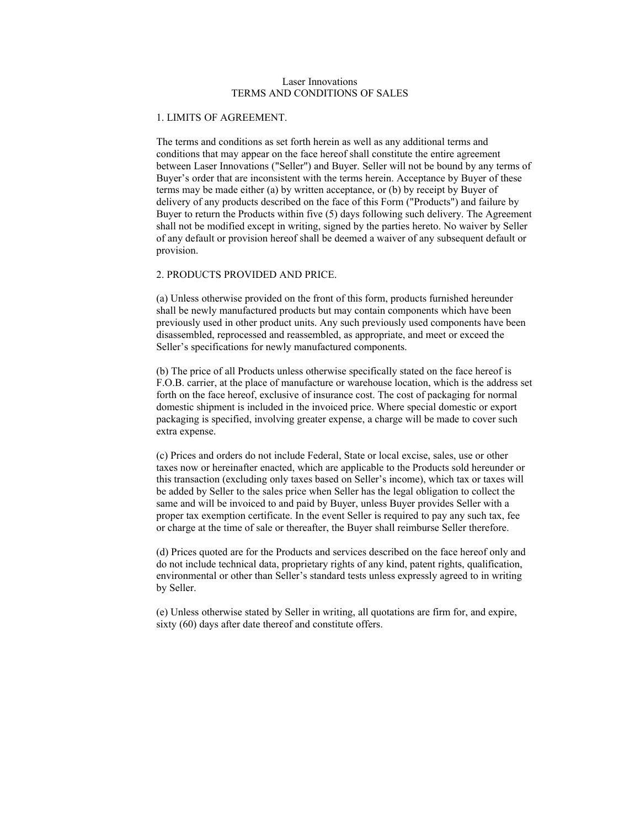### Laser Innovations TERMS AND CONDITIONS OF SALES

### 1. LIMITS OF AGREEMENT.

 The terms and conditions as set forth herein as well as any additional terms and conditions that may appear on the face hereof shall constitute the entire agreement between Laser Innovations ("Seller") and Buyer. Seller will not be bound by any terms of Buyer's order that are inconsistent with the terms herein. Acceptance by Buyer of these terms may be made either (a) by written acceptance, or (b) by receipt by Buyer of delivery of any products described on the face of this Form ("Products") and failure by Buyer to return the Products within five (5) days following such delivery. The Agreement shall not be modified except in writing, signed by the parties hereto. No waiver by Seller of any default or provision hereof shall be deemed a waiver of any subsequent default or provision.

# 2. PRODUCTS PROVIDED AND PRICE.

 (a) Unless otherwise provided on the front of this form, products furnished hereunder shall be newly manufactured products but may contain components which have been previously used in other product units. Any such previously used components have been disassembled, reprocessed and reassembled, as appropriate, and meet or exceed the Seller's specifications for newly manufactured components.

 (b) The price of all Products unless otherwise specifically stated on the face hereof is F.O.B. carrier, at the place of manufacture or warehouse location, which is the address set forth on the face hereof, exclusive of insurance cost. The cost of packaging for normal domestic shipment is included in the invoiced price. Where special domestic or export packaging is specified, involving greater expense, a charge will be made to cover such extra expense.

 (c) Prices and orders do not include Federal, State or local excise, sales, use or other taxes now or hereinafter enacted, which are applicable to the Products sold hereunder or this transaction (excluding only taxes based on Seller's income), which tax or taxes will be added by Seller to the sales price when Seller has the legal obligation to collect the same and will be invoiced to and paid by Buyer, unless Buyer provides Seller with a proper tax exemption certificate. In the event Seller is required to pay any such tax, fee or charge at the time of sale or thereafter, the Buyer shall reimburse Seller therefore.

 (d) Prices quoted are for the Products and services described on the face hereof only and do not include technical data, proprietary rights of any kind, patent rights, qualification, environmental or other than Seller's standard tests unless expressly agreed to in writing by Seller.

 (e) Unless otherwise stated by Seller in writing, all quotations are firm for, and expire, sixty (60) days after date thereof and constitute offers.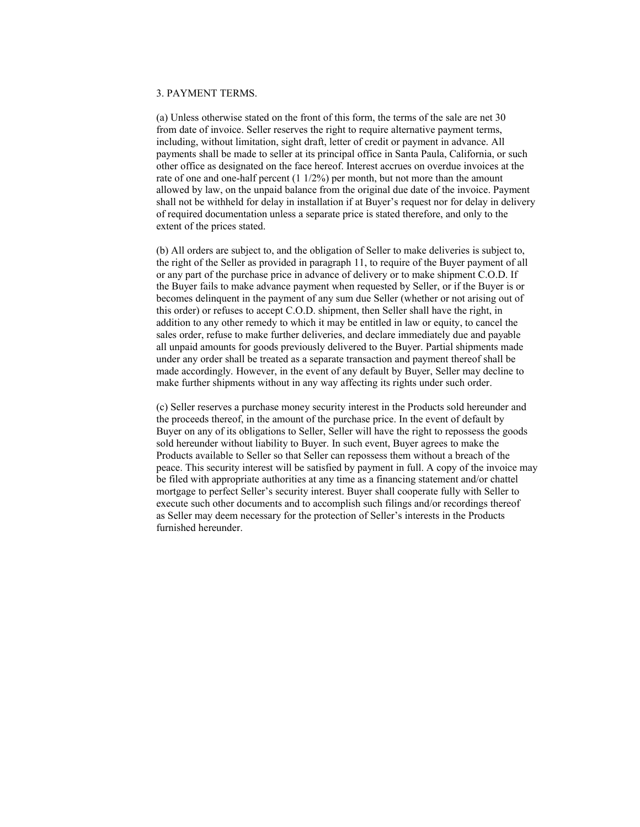### 3. PAYMENT TERMS.

 (a) Unless otherwise stated on the front of this form, the terms of the sale are net 30 from date of invoice. Seller reserves the right to require alternative payment terms, including, without limitation, sight draft, letter of credit or payment in advance. All payments shall be made to seller at its principal office in Santa Paula, California, or such other office as designated on the face hereof. Interest accrues on overdue invoices at the rate of one and one-half percent (1 1/2%) per month, but not more than the amount allowed by law, on the unpaid balance from the original due date of the invoice. Payment shall not be withheld for delay in installation if at Buyer's request nor for delay in delivery of required documentation unless a separate price is stated therefore, and only to the extent of the prices stated.

 (b) All orders are subject to, and the obligation of Seller to make deliveries is subject to, the right of the Seller as provided in paragraph 11, to require of the Buyer payment of all or any part of the purchase price in advance of delivery or to make shipment C.O.D. If the Buyer fails to make advance payment when requested by Seller, or if the Buyer is or becomes delinquent in the payment of any sum due Seller (whether or not arising out of this order) or refuses to accept C.O.D. shipment, then Seller shall have the right, in addition to any other remedy to which it may be entitled in law or equity, to cancel the sales order, refuse to make further deliveries, and declare immediately due and payable all unpaid amounts for goods previously delivered to the Buyer. Partial shipments made under any order shall be treated as a separate transaction and payment thereof shall be made accordingly. However, in the event of any default by Buyer, Seller may decline to make further shipments without in any way affecting its rights under such order.

 (c) Seller reserves a purchase money security interest in the Products sold hereunder and the proceeds thereof, in the amount of the purchase price. In the event of default by Buyer on any of its obligations to Seller, Seller will have the right to repossess the goods sold hereunder without liability to Buyer. In such event, Buyer agrees to make the Products available to Seller so that Seller can repossess them without a breach of the peace. This security interest will be satisfied by payment in full. A copy of the invoice may be filed with appropriate authorities at any time as a financing statement and/or chattel mortgage to perfect Seller's security interest. Buyer shall cooperate fully with Seller to execute such other documents and to accomplish such filings and/or recordings thereof as Seller may deem necessary for the protection of Seller's interests in the Products furnished hereunder.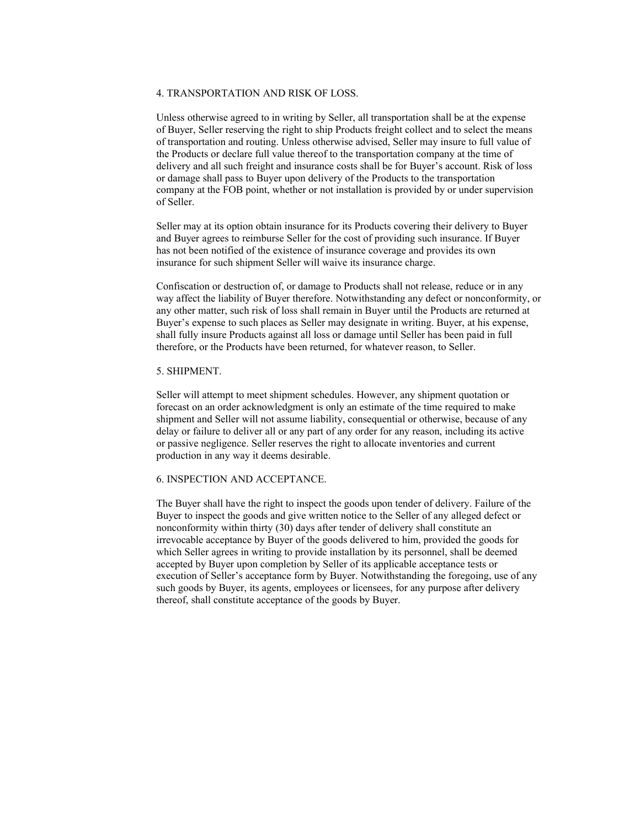### 4. TRANSPORTATION AND RISK OF LOSS.

 Unless otherwise agreed to in writing by Seller, all transportation shall be at the expense of Buyer, Seller reserving the right to ship Products freight collect and to select the means of transportation and routing. Unless otherwise advised, Seller may insure to full value of the Products or declare full value thereof to the transportation company at the time of delivery and all such freight and insurance costs shall be for Buyer's account. Risk of loss or damage shall pass to Buyer upon delivery of the Products to the transportation company at the FOB point, whether or not installation is provided by or under supervision of Seller.

 Seller may at its option obtain insurance for its Products covering their delivery to Buyer and Buyer agrees to reimburse Seller for the cost of providing such insurance. If Buyer has not been notified of the existence of insurance coverage and provides its own insurance for such shipment Seller will waive its insurance charge.

 Confiscation or destruction of, or damage to Products shall not release, reduce or in any way affect the liability of Buyer therefore. Notwithstanding any defect or nonconformity, or any other matter, such risk of loss shall remain in Buyer until the Products are returned at Buyer's expense to such places as Seller may designate in writing. Buyer, at his expense, shall fully insure Products against all loss or damage until Seller has been paid in full therefore, or the Products have been returned, for whatever reason, to Seller.

# 5. SHIPMENT.

 Seller will attempt to meet shipment schedules. However, any shipment quotation or forecast on an order acknowledgment is only an estimate of the time required to make shipment and Seller will not assume liability, consequential or otherwise, because of any delay or failure to deliver all or any part of any order for any reason, including its active or passive negligence. Seller reserves the right to allocate inventories and current production in any way it deems desirable.

#### 6. INSPECTION AND ACCEPTANCE.

 The Buyer shall have the right to inspect the goods upon tender of delivery. Failure of the Buyer to inspect the goods and give written notice to the Seller of any alleged defect or nonconformity within thirty (30) days after tender of delivery shall constitute an irrevocable acceptance by Buyer of the goods delivered to him, provided the goods for which Seller agrees in writing to provide installation by its personnel, shall be deemed accepted by Buyer upon completion by Seller of its applicable acceptance tests or execution of Seller's acceptance form by Buyer. Notwithstanding the foregoing, use of any such goods by Buyer, its agents, employees or licensees, for any purpose after delivery thereof, shall constitute acceptance of the goods by Buyer.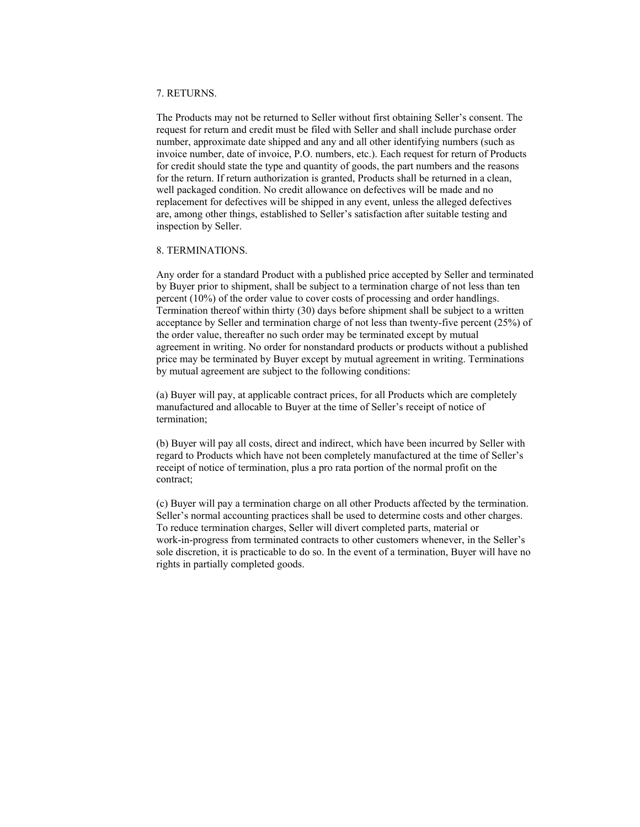#### 7. RETURNS.

 The Products may not be returned to Seller without first obtaining Seller's consent. The request for return and credit must be filed with Seller and shall include purchase order number, approximate date shipped and any and all other identifying numbers (such as invoice number, date of invoice, P.O. numbers, etc.). Each request for return of Products for credit should state the type and quantity of goods, the part numbers and the reasons for the return. If return authorization is granted, Products shall be returned in a clean, well packaged condition. No credit allowance on defectives will be made and no replacement for defectives will be shipped in any event, unless the alleged defectives are, among other things, established to Seller's satisfaction after suitable testing and inspection by Seller.

### 8. TERMINATIONS.

 Any order for a standard Product with a published price accepted by Seller and terminated by Buyer prior to shipment, shall be subject to a termination charge of not less than ten percent (10%) of the order value to cover costs of processing and order handlings. Termination thereof within thirty (30) days before shipment shall be subject to a written acceptance by Seller and termination charge of not less than twenty-five percent (25%) of the order value, thereafter no such order may be terminated except by mutual agreement in writing. No order for nonstandard products or products without a published price may be terminated by Buyer except by mutual agreement in writing. Terminations by mutual agreement are subject to the following conditions:

 (a) Buyer will pay, at applicable contract prices, for all Products which are completely manufactured and allocable to Buyer at the time of Seller's receipt of notice of termination;

 (b) Buyer will pay all costs, direct and indirect, which have been incurred by Seller with regard to Products which have not been completely manufactured at the time of Seller's receipt of notice of termination, plus a pro rata portion of the normal profit on the contract;

 (c) Buyer will pay a termination charge on all other Products affected by the termination. Seller's normal accounting practices shall be used to determine costs and other charges. To reduce termination charges, Seller will divert completed parts, material or work-in-progress from terminated contracts to other customers whenever, in the Seller's sole discretion, it is practicable to do so. In the event of a termination, Buyer will have no rights in partially completed goods.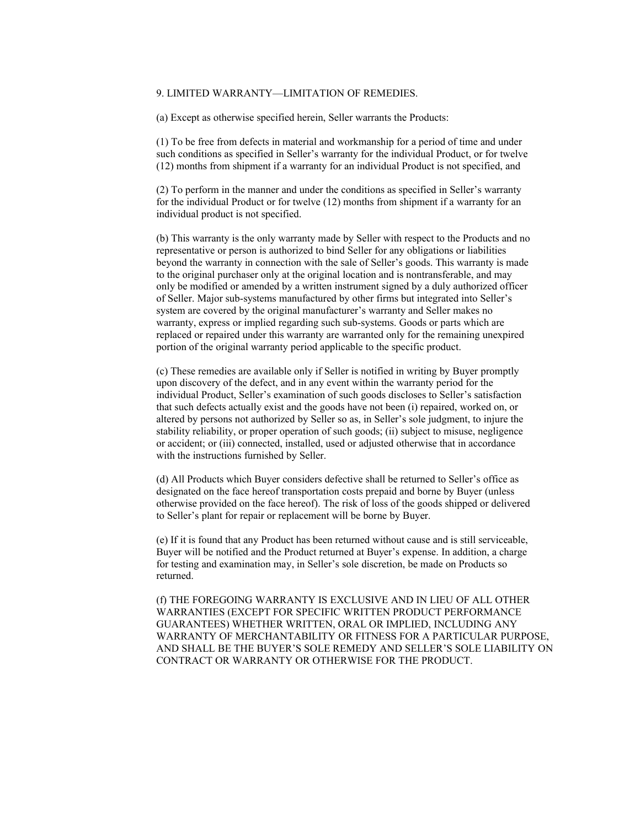### 9. LIMITED WARRANTY—LIMITATION OF REMEDIES.

(a) Except as otherwise specified herein, Seller warrants the Products:

 (1) To be free from defects in material and workmanship for a period of time and under such conditions as specified in Seller's warranty for the individual Product, or for twelve (12) months from shipment if a warranty for an individual Product is not specified, and

 (2) To perform in the manner and under the conditions as specified in Seller's warranty for the individual Product or for twelve (12) months from shipment if a warranty for an individual product is not specified.

 (b) This warranty is the only warranty made by Seller with respect to the Products and no representative or person is authorized to bind Seller for any obligations or liabilities beyond the warranty in connection with the sale of Seller's goods. This warranty is made to the original purchaser only at the original location and is nontransferable, and may only be modified or amended by a written instrument signed by a duly authorized officer of Seller. Major sub-systems manufactured by other firms but integrated into Seller's system are covered by the original manufacturer's warranty and Seller makes no warranty, express or implied regarding such sub-systems. Goods or parts which are replaced or repaired under this warranty are warranted only for the remaining unexpired portion of the original warranty period applicable to the specific product.

 (c) These remedies are available only if Seller is notified in writing by Buyer promptly upon discovery of the defect, and in any event within the warranty period for the individual Product, Seller's examination of such goods discloses to Seller's satisfaction that such defects actually exist and the goods have not been (i) repaired, worked on, or altered by persons not authorized by Seller so as, in Seller's sole judgment, to injure the stability reliability, or proper operation of such goods; (ii) subject to misuse, negligence or accident; or (iii) connected, installed, used or adjusted otherwise that in accordance with the instructions furnished by Seller.

 (d) All Products which Buyer considers defective shall be returned to Seller's office as designated on the face hereof transportation costs prepaid and borne by Buyer (unless otherwise provided on the face hereof). The risk of loss of the goods shipped or delivered to Seller's plant for repair or replacement will be borne by Buyer.

 (e) If it is found that any Product has been returned without cause and is still serviceable, Buyer will be notified and the Product returned at Buyer's expense. In addition, a charge for testing and examination may, in Seller's sole discretion, be made on Products so returned.

 (f) THE FOREGOING WARRANTY IS EXCLUSIVE AND IN LIEU OF ALL OTHER WARRANTIES (EXCEPT FOR SPECIFIC WRITTEN PRODUCT PERFORMANCE GUARANTEES) WHETHER WRITTEN, ORAL OR IMPLIED, INCLUDING ANY WARRANTY OF MERCHANTABILITY OR FITNESS FOR A PARTICULAR PURPOSE, AND SHALL BE THE BUYER'S SOLE REMEDY AND SELLER'S SOLE LIABILITY ON CONTRACT OR WARRANTY OR OTHERWISE FOR THE PRODUCT.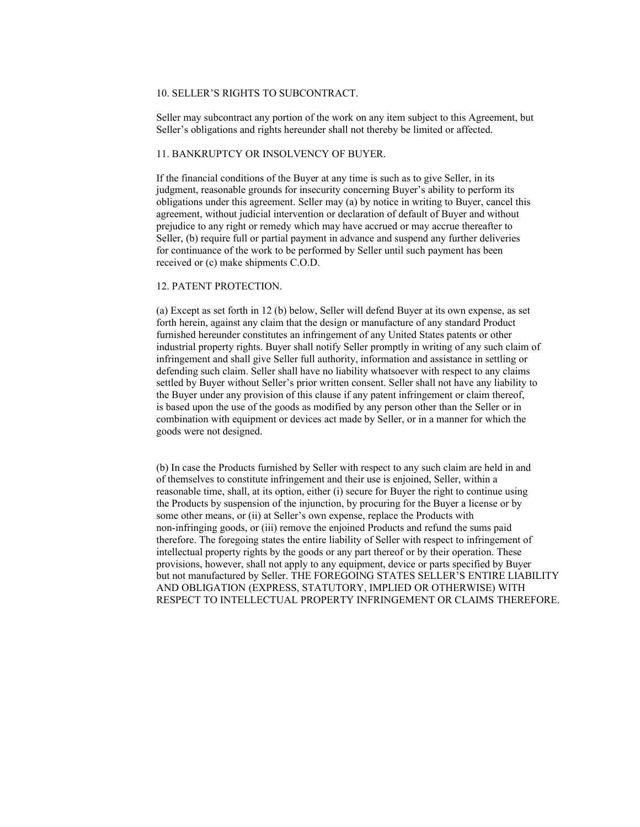# 10. SELLER'S RIGHTS TO SUBCONTRACT.

 Seller may subcontract any portion of the work on any item subject to this Agreement, but Seller's obligations and rights hereunder shall not thereby be limited or affected.

# 11. BANKRUPTCY OR INSOLVENCY OF BUYER.

 If the financial conditions of the Buyer at any time is such as to give Seller, in its judgment, reasonable grounds for insecurity concerning Buyer's ability to perform its obligations under this agreement. Seller may (a) by notice in writing to Buyer, cancel this agreement, without judicial intervention or declaration of default of Buyer and without prejudice to any right or remedy which may have accrued or may accrue thereafter to Seller, (b) require full or partial payment in advance and suspend any further deliveries for continuance of the work to be performed by Seller until such payment has been received or (c) make shipments C.O.D.

# 12. PATENT PROTECTION.

 (a) Except as set forth in 12 (b) below, Seller will defend Buyer at its own expense, as set forth herein, against any claim that the design or manufacture of any standard Product furnished hereunder constitutes an infringement of any United States patents or other industrial property rights. Buyer shall notify Seller promptly in writing of any such claim of infringement and shall give Seller full authority, information and assistance in settling or defending such claim. Seller shall have no liability whatsoever with respect to any claims settled by Buyer without Seller's prior written consent. Seller shall not have any liability to the Buyer under any provision of this clause if any patent infringement or claim thereof, is based upon the use of the goods as modified by any person other than the Seller or in combination with equipment or devices act made by Seller, or in a manner for which the goods were not designed.

 (b) In case the Products furnished by Seller with respect to any such claim are held in and of themselves to constitute infringement and their use is enjoined, Seller, within a reasonable time, shall, at its option, either (i) secure for Buyer the right to continue using the Products by suspension of the injunction, by procuring for the Buyer a license or by some other means, or (ii) at Seller's own expense, replace the Products with non-infringing goods, or (iii) remove the enjoined Products and refund the sums paid therefore. The foregoing states the entire liability of Seller with respect to infringement of intellectual property rights by the goods or any part thereof or by their operation. These provisions, however, shall not apply to any equipment, device or parts specified by Buyer but not manufactured by Seller. THE FOREGOING STATES SELLER'S ENTIRE LIABILITY AND OBLIGATION (EXPRESS, STATUTORY, IMPLIED OR OTHERWISE) WITH RESPECT TO INTELLECTUAL PROPERTY INFRINGEMENT OR CLAIMS THEREFORE.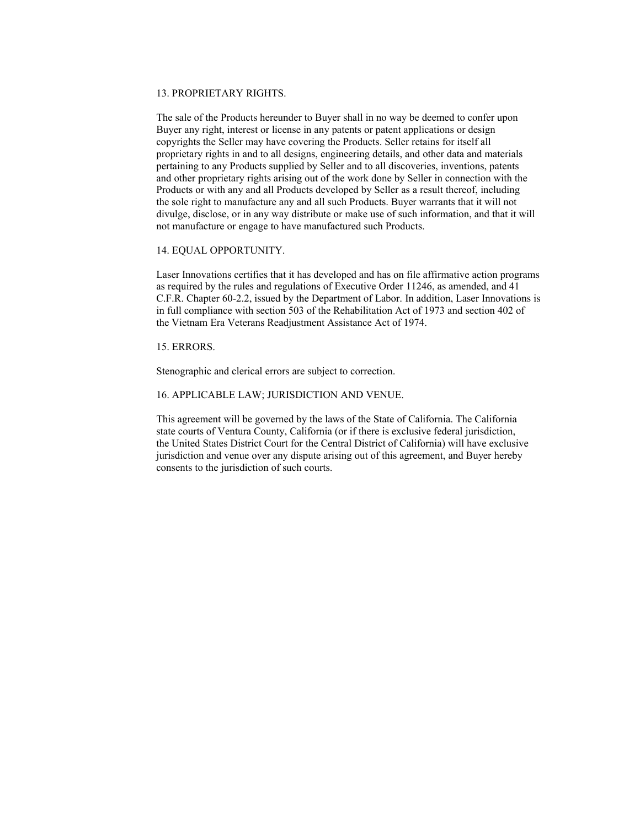#### 13. PROPRIETARY RIGHTS.

 The sale of the Products hereunder to Buyer shall in no way be deemed to confer upon Buyer any right, interest or license in any patents or patent applications or design copyrights the Seller may have covering the Products. Seller retains for itself all proprietary rights in and to all designs, engineering details, and other data and materials pertaining to any Products supplied by Seller and to all discoveries, inventions, patents and other proprietary rights arising out of the work done by Seller in connection with the Products or with any and all Products developed by Seller as a result thereof, including the sole right to manufacture any and all such Products. Buyer warrants that it will not divulge, disclose, or in any way distribute or make use of such information, and that it will not manufacture or engage to have manufactured such Products.

### 14. EQUAL OPPORTUNITY.

 Laser Innovations certifies that it has developed and has on file affirmative action programs as required by the rules and regulations of Executive Order 11246, as amended, and 41 C.F.R. Chapter 60-2.2, issued by the Department of Labor. In addition, Laser Innovations is in full compliance with section 503 of the Rehabilitation Act of 1973 and section 402 of the Vietnam Era Veterans Readjustment Assistance Act of 1974.

# 15. ERRORS.

Stenographic and clerical errors are subject to correction.

### 16. APPLICABLE LAW; JURISDICTION AND VENUE.

 This agreement will be governed by the laws of the State of California. The California state courts of Ventura County, California (or if there is exclusive federal jurisdiction, the United States District Court for the Central District of California) will have exclusive jurisdiction and venue over any dispute arising out of this agreement, and Buyer hereby consents to the jurisdiction of such courts.